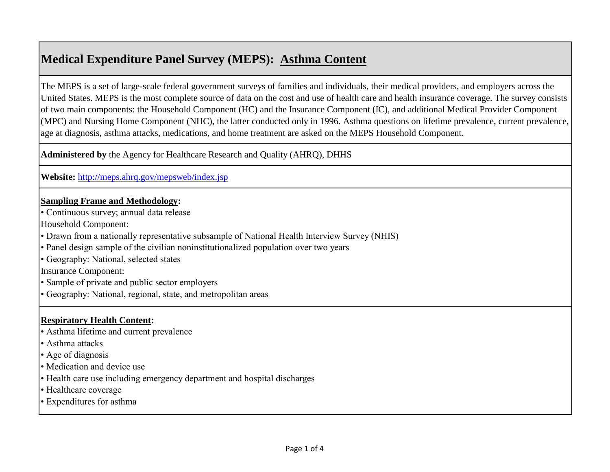### **Medical Expenditure Panel Survey (MEPS): Asthma Content**

The MEPS is a set of large-scale federal government surveys of families and individuals, their medical providers, and employers across the United States. MEPS is the most complete source of data on the cost and use of health care and health insurance coverage. The survey consists of two main components: the Household Component (HC) and the Insurance Component (IC), and additional Medical Provider Component (MPC) and Nursing Home Component (NHC), the latter conducted only in 1996. Asthma questions on lifetime prevalence, current prevalence, age at diagnosis, asthma attacks, medications, and home treatment are asked on the MEPS Household Component.

**Administered by** the Agency for Healthcare Research and Quality (AHRQ), DHHS

**[Website:](http://meps.ahrq.gov/mepsweb/index.jsp)** <http://meps.ahrq.gov/mepsweb/index.jsp>

#### **Sampling Frame and Methodology:**

• Continuous survey; annual data release

Household Component:

• Drawn from a nationally representative subsample of National Health Interview Survey (NHIS)

• Panel design sample of the civilian noninstitutionalized population over two years

• Geography: National, selected states

Insurance Component:

• Sample of private and public sector employers

• Geography: National, regional, state, and metropolitan areas

### **Respiratory Health Content:**

• Asthma lifetime and current prevalence

• Asthma attacks

• Age of diagnosis

- Medication and device use
- Health care use including emergency department and hospital discharges
- Healthcare coverage
- Expenditures for asthma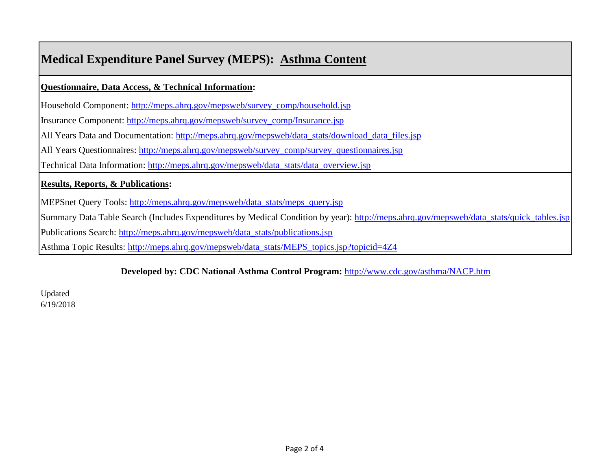## **Medical Expenditure Panel Survey (MEPS): Asthma Content**

**Questionnaire, Data Access, & Technical Information:**

[Household Component: http://meps.ahrq.gov/mepsweb/survey\\_comp/household.jsp](http://meps.ahrq.gov/mepsweb/survey_comp/household.jsp)

[Insurance Component: http://meps.ahrq.gov/mepsweb/survey\\_comp/Insurance.jsp](http://meps.ahrq.gov/mepsweb/survey_comp/Insurance.jsp)

[All Years Data and Documentation: http://meps.ahrq.gov/mepsweb/data\\_stats/download\\_data\\_files.jsp](http://meps.ahrq.gov/mepsweb/data_stats/download_data_files.jsp)

[All Years Questionnaires: http://meps.ahrq.gov/mepsweb/survey\\_comp/survey\\_questionnaires.jsp](http://meps.ahrq.gov/mepsweb/survey_comp/survey_questionnaires.jsp)

[Technical Data Information: http://meps.ahrq.gov/mepsweb/data\\_stats/data\\_overview.jsp](http://meps.ahrq.gov/mepsweb/data_stats/data_overview.jsp)

### **Results, Reports, & Publications:**

[MEPSnet Query Tools: http://meps.ahrq.gov/mepsweb/data\\_stats/meps\\_query.jsp](http://meps.ahrq.gov/mepsweb/data_stats/meps_query.jsp)

[Summary Data Table Search \(Includes Expenditures by Medical Condition by year\): http://meps.ahrq.gov/mepsweb/data\\_stats/quick\\_tables.jsp](http://meps.ahrq.gov/mepsweb/data_stats/quick_tables.jsp)

[Publications Search: http://meps.ahrq.gov/mepsweb/data\\_stats/publications.jsp](http://meps.ahrq.gov/mepsweb/data_stats/publications.jsp)

[Asthma Topic Results: http://meps.ahrq.gov/mepsweb/data\\_stats/MEPS\\_topics.jsp?topicid=4Z4](http://meps.ahrq.gov/mepsweb/data_stats/MEPS_topics.jsp?topicid=4Z4)

### **[Developed by: CDC National Asthma Control Program:](http://www.cdc.gov/asthma/NACP.htm)** <http://www.cdc.gov/asthma/NACP.htm>

Updated 6/19/2018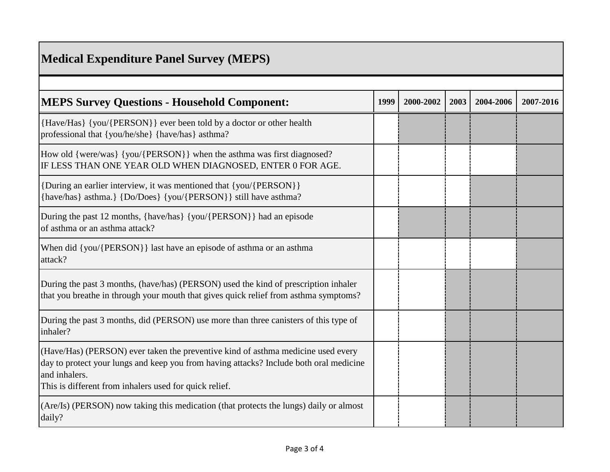# **Medical Expenditure Panel Survey (MEPS)**

| <b>MEPS Survey Questions - Household Component:</b>                                                                                                                                                                                                   | 1999 | 2000-2002 | 2003 | 2004-2006 | 2007-2016 |
|-------------------------------------------------------------------------------------------------------------------------------------------------------------------------------------------------------------------------------------------------------|------|-----------|------|-----------|-----------|
| {Have/Has} {you/{PERSON}} ever been told by a doctor or other health<br>professional that {you/he/she} {have/has} asthma?                                                                                                                             |      |           |      |           |           |
| How old {were/was} {you/{PERSON}} when the asthma was first diagnosed?<br>IF LESS THAN ONE YEAR OLD WHEN DIAGNOSED, ENTER 0 FOR AGE.                                                                                                                  |      |           |      |           |           |
| {During an earlier interview, it was mentioned that {you/{PERSON}}<br>{have/has} asthma.} {Do/Does} {you/{PERSON}} still have asthma?                                                                                                                 |      |           |      |           |           |
| During the past 12 months, {have/has} {you/{PERSON}} had an episode<br>of asthma or an asthma attack?                                                                                                                                                 |      |           |      |           |           |
| When did {you/{PERSON}} last have an episode of asthma or an asthma<br>attack?                                                                                                                                                                        |      |           |      |           |           |
| During the past 3 months, (have/has) (PERSON) used the kind of prescription inhaler<br>that you breathe in through your mouth that gives quick relief from asthma symptoms?                                                                           |      |           |      |           |           |
| During the past 3 months, did (PERSON) use more than three canisters of this type of<br>inhaler?                                                                                                                                                      |      |           |      |           |           |
| (Have/Has) (PERSON) ever taken the preventive kind of asthma medicine used every<br>day to protect your lungs and keep you from having attacks? Include both oral medicine<br>and inhalers.<br>This is different from inhalers used for quick relief. |      |           |      |           |           |
| (Are/Is) (PERSON) now taking this medication (that protects the lungs) daily or almost<br>daily?                                                                                                                                                      |      |           |      |           |           |